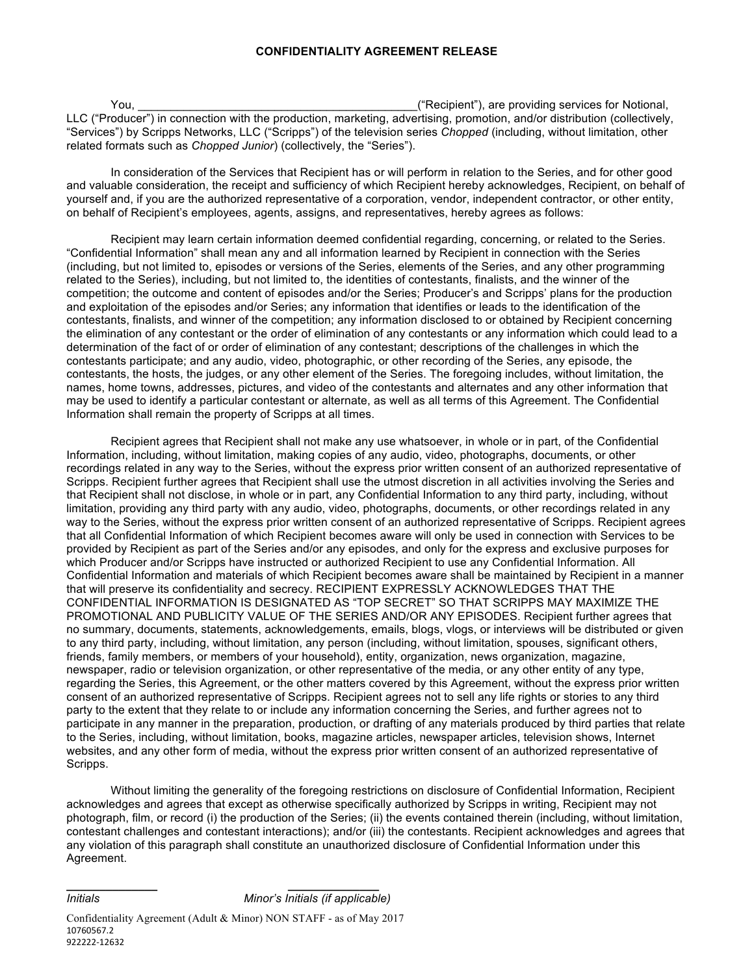You, the same state of the state of the state of the state of the state of the state of the state of the state of the state of the state of the state of the state of the state of the state of the state of the state of the LLC ("Producer") in connection with the production, marketing, advertising, promotion, and/or distribution (collectively, "Services") by Scripps Networks, LLC ("Scripps") of the television series *Chopped* (including, without limitation, other related formats such as *Chopped Junior*) (collectively, the "Series").

In consideration of the Services that Recipient has or will perform in relation to the Series, and for other good and valuable consideration, the receipt and sufficiency of which Recipient hereby acknowledges, Recipient, on behalf of yourself and, if you are the authorized representative of a corporation, vendor, independent contractor, or other entity, on behalf of Recipient's employees, agents, assigns, and representatives, hereby agrees as follows:

Recipient may learn certain information deemed confidential regarding, concerning, or related to the Series. "Confidential Information" shall mean any and all information learned by Recipient in connection with the Series (including, but not limited to, episodes or versions of the Series, elements of the Series, and any other programming related to the Series), including, but not limited to, the identities of contestants, finalists, and the winner of the competition; the outcome and content of episodes and/or the Series; Producer's and Scripps' plans for the production and exploitation of the episodes and/or Series; any information that identifies or leads to the identification of the contestants, finalists, and winner of the competition; any information disclosed to or obtained by Recipient concerning the elimination of any contestant or the order of elimination of any contestants or any information which could lead to a determination of the fact of or order of elimination of any contestant; descriptions of the challenges in which the contestants participate; and any audio, video, photographic, or other recording of the Series, any episode, the contestants, the hosts, the judges, or any other element of the Series. The foregoing includes, without limitation, the names, home towns, addresses, pictures, and video of the contestants and alternates and any other information that may be used to identify a particular contestant or alternate, as well as all terms of this Agreement. The Confidential Information shall remain the property of Scripps at all times.

Recipient agrees that Recipient shall not make any use whatsoever, in whole or in part, of the Confidential Information, including, without limitation, making copies of any audio, video, photographs, documents, or other recordings related in any way to the Series, without the express prior written consent of an authorized representative of Scripps. Recipient further agrees that Recipient shall use the utmost discretion in all activities involving the Series and that Recipient shall not disclose, in whole or in part, any Confidential Information to any third party, including, without limitation, providing any third party with any audio, video, photographs, documents, or other recordings related in any way to the Series, without the express prior written consent of an authorized representative of Scripps. Recipient agrees that all Confidential Information of which Recipient becomes aware will only be used in connection with Services to be provided by Recipient as part of the Series and/or any episodes, and only for the express and exclusive purposes for which Producer and/or Scripps have instructed or authorized Recipient to use any Confidential Information. All Confidential Information and materials of which Recipient becomes aware shall be maintained by Recipient in a manner that will preserve its confidentiality and secrecy. RECIPIENT EXPRESSLY ACKNOWLEDGES THAT THE CONFIDENTIAL INFORMATION IS DESIGNATED AS "TOP SECRET" SO THAT SCRIPPS MAY MAXIMIZE THE PROMOTIONAL AND PUBLICITY VALUE OF THE SERIES AND/OR ANY EPISODES. Recipient further agrees that no summary, documents, statements, acknowledgements, emails, blogs, vlogs, or interviews will be distributed or given to any third party, including, without limitation, any person (including, without limitation, spouses, significant others, friends, family members, or members of your household), entity, organization, news organization, magazine, newspaper, radio or television organization, or other representative of the media, or any other entity of any type, regarding the Series, this Agreement, or the other matters covered by this Agreement, without the express prior written consent of an authorized representative of Scripps. Recipient agrees not to sell any life rights or stories to any third party to the extent that they relate to or include any information concerning the Series, and further agrees not to participate in any manner in the preparation, production, or drafting of any materials produced by third parties that relate to the Series, including, without limitation, books, magazine articles, newspaper articles, television shows, Internet websites, and any other form of media, without the express prior written consent of an authorized representative of Scripps.

Without limiting the generality of the foregoing restrictions on disclosure of Confidential Information, Recipient acknowledges and agrees that except as otherwise specifically authorized by Scripps in writing, Recipient may not photograph, film, or record (i) the production of the Series; (ii) the events contained therein (including, without limitation, contestant challenges and contestant interactions); and/or (iii) the contestants. Recipient acknowledges and agrees that any violation of this paragraph shall constitute an unauthorized disclosure of Confidential Information under this Agreement.

**\_\_\_\_\_\_\_\_\_\_\_\_\_\_ \_\_\_\_\_\_\_\_\_\_\_\_\_\_**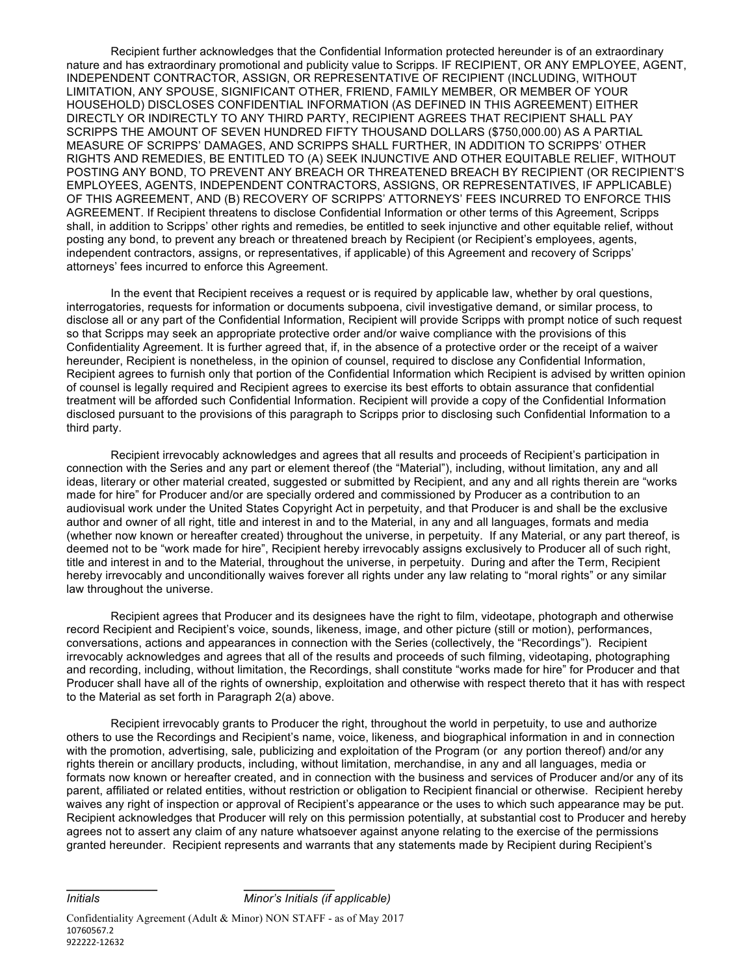Recipient further acknowledges that the Confidential Information protected hereunder is of an extraordinary nature and has extraordinary promotional and publicity value to Scripps. IF RECIPIENT, OR ANY EMPLOYEE, AGENT, INDEPENDENT CONTRACTOR, ASSIGN, OR REPRESENTATIVE OF RECIPIENT (INCLUDING, WITHOUT LIMITATION, ANY SPOUSE, SIGNIFICANT OTHER, FRIEND, FAMILY MEMBER, OR MEMBER OF YOUR HOUSEHOLD) DISCLOSES CONFIDENTIAL INFORMATION (AS DEFINED IN THIS AGREEMENT) EITHER DIRECTLY OR INDIRECTLY TO ANY THIRD PARTY, RECIPIENT AGREES THAT RECIPIENT SHALL PAY SCRIPPS THE AMOUNT OF SEVEN HUNDRED FIFTY THOUSAND DOLLARS (\$750,000.00) AS A PARTIAL MEASURE OF SCRIPPS' DAMAGES, AND SCRIPPS SHALL FURTHER, IN ADDITION TO SCRIPPS' OTHER RIGHTS AND REMEDIES, BE ENTITLED TO (A) SEEK INJUNCTIVE AND OTHER EQUITABLE RELIEF, WITHOUT POSTING ANY BOND, TO PREVENT ANY BREACH OR THREATENED BREACH BY RECIPIENT (OR RECIPIENT'S EMPLOYEES, AGENTS, INDEPENDENT CONTRACTORS, ASSIGNS, OR REPRESENTATIVES, IF APPLICABLE) OF THIS AGREEMENT, AND (B) RECOVERY OF SCRIPPS' ATTORNEYS' FEES INCURRED TO ENFORCE THIS AGREEMENT. If Recipient threatens to disclose Confidential Information or other terms of this Agreement, Scripps shall, in addition to Scripps' other rights and remedies, be entitled to seek injunctive and other equitable relief, without posting any bond, to prevent any breach or threatened breach by Recipient (or Recipient's employees, agents, independent contractors, assigns, or representatives, if applicable) of this Agreement and recovery of Scripps' attorneys' fees incurred to enforce this Agreement.

In the event that Recipient receives a request or is required by applicable law, whether by oral questions, interrogatories, requests for information or documents subpoena, civil investigative demand, or similar process, to disclose all or any part of the Confidential Information, Recipient will provide Scripps with prompt notice of such request so that Scripps may seek an appropriate protective order and/or waive compliance with the provisions of this Confidentiality Agreement. It is further agreed that, if, in the absence of a protective order or the receipt of a waiver hereunder, Recipient is nonetheless, in the opinion of counsel, required to disclose any Confidential Information, Recipient agrees to furnish only that portion of the Confidential Information which Recipient is advised by written opinion of counsel is legally required and Recipient agrees to exercise its best efforts to obtain assurance that confidential treatment will be afforded such Confidential Information. Recipient will provide a copy of the Confidential Information disclosed pursuant to the provisions of this paragraph to Scripps prior to disclosing such Confidential Information to a third party.

Recipient irrevocably acknowledges and agrees that all results and proceeds of Recipient's participation in connection with the Series and any part or element thereof (the "Material"), including, without limitation, any and all ideas, literary or other material created, suggested or submitted by Recipient, and any and all rights therein are "works made for hire" for Producer and/or are specially ordered and commissioned by Producer as a contribution to an audiovisual work under the United States Copyright Act in perpetuity, and that Producer is and shall be the exclusive author and owner of all right, title and interest in and to the Material, in any and all languages, formats and media (whether now known or hereafter created) throughout the universe, in perpetuity. If any Material, or any part thereof, is deemed not to be "work made for hire", Recipient hereby irrevocably assigns exclusively to Producer all of such right, title and interest in and to the Material, throughout the universe, in perpetuity. During and after the Term, Recipient hereby irrevocably and unconditionally waives forever all rights under any law relating to "moral rights" or any similar law throughout the universe.

Recipient agrees that Producer and its designees have the right to film, videotape, photograph and otherwise record Recipient and Recipient's voice, sounds, likeness, image, and other picture (still or motion), performances, conversations, actions and appearances in connection with the Series (collectively, the "Recordings"). Recipient irrevocably acknowledges and agrees that all of the results and proceeds of such filming, videotaping, photographing and recording, including, without limitation, the Recordings, shall constitute "works made for hire" for Producer and that Producer shall have all of the rights of ownership, exploitation and otherwise with respect thereto that it has with respect to the Material as set forth in Paragraph 2(a) above.

Recipient irrevocably grants to Producer the right, throughout the world in perpetuity, to use and authorize others to use the Recordings and Recipient's name, voice, likeness, and biographical information in and in connection with the promotion, advertising, sale, publicizing and exploitation of the Program (or any portion thereof) and/or any rights therein or ancillary products, including, without limitation, merchandise, in any and all languages, media or formats now known or hereafter created, and in connection with the business and services of Producer and/or any of its parent, affiliated or related entities, without restriction or obligation to Recipient financial or otherwise. Recipient hereby waives any right of inspection or approval of Recipient's appearance or the uses to which such appearance may be put. Recipient acknowledges that Producer will rely on this permission potentially, at substantial cost to Producer and hereby agrees not to assert any claim of any nature whatsoever against anyone relating to the exercise of the permissions granted hereunder. Recipient represents and warrants that any statements made by Recipient during Recipient's

*Initials Minor's Initials (if applicable)\_\_\_\_\_\_\_\_\_\_\_*

**\_\_\_\_\_\_\_\_\_\_\_\_\_\_ \_\_\_\_\_\_\_\_\_\_\_\_\_\_**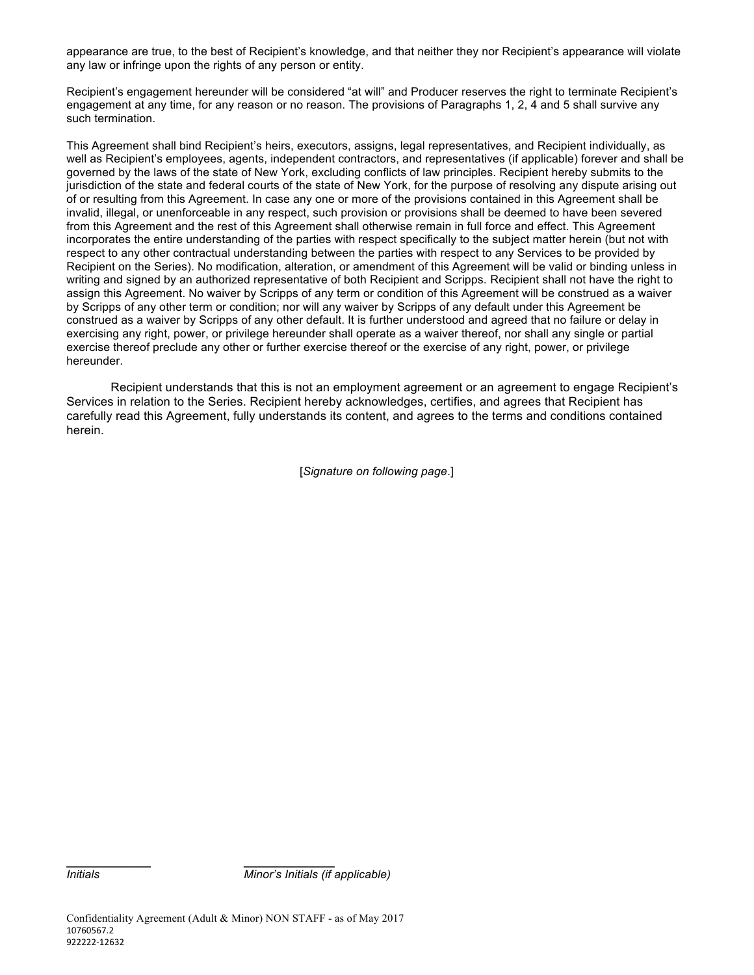appearance are true, to the best of Recipient's knowledge, and that neither they nor Recipient's appearance will violate any law or infringe upon the rights of any person or entity.

Recipient's engagement hereunder will be considered "at will" and Producer reserves the right to terminate Recipient's engagement at any time, for any reason or no reason. The provisions of Paragraphs 1, 2, 4 and 5 shall survive any such termination.

This Agreement shall bind Recipient's heirs, executors, assigns, legal representatives, and Recipient individually, as well as Recipient's employees, agents, independent contractors, and representatives (if applicable) forever and shall be governed by the laws of the state of New York, excluding conflicts of law principles. Recipient hereby submits to the jurisdiction of the state and federal courts of the state of New York, for the purpose of resolving any dispute arising out of or resulting from this Agreement. In case any one or more of the provisions contained in this Agreement shall be invalid, illegal, or unenforceable in any respect, such provision or provisions shall be deemed to have been severed from this Agreement and the rest of this Agreement shall otherwise remain in full force and effect. This Agreement incorporates the entire understanding of the parties with respect specifically to the subject matter herein (but not with respect to any other contractual understanding between the parties with respect to any Services to be provided by Recipient on the Series). No modification, alteration, or amendment of this Agreement will be valid or binding unless in writing and signed by an authorized representative of both Recipient and Scripps. Recipient shall not have the right to assign this Agreement. No waiver by Scripps of any term or condition of this Agreement will be construed as a waiver by Scripps of any other term or condition; nor will any waiver by Scripps of any default under this Agreement be construed as a waiver by Scripps of any other default. It is further understood and agreed that no failure or delay in exercising any right, power, or privilege hereunder shall operate as a waiver thereof, nor shall any single or partial exercise thereof preclude any other or further exercise thereof or the exercise of any right, power, or privilege hereunder.

Recipient understands that this is not an employment agreement or an agreement to engage Recipient's Services in relation to the Series. Recipient hereby acknowledges, certifies, and agrees that Recipient has carefully read this Agreement, fully understands its content, and agrees to the terms and conditions contained herein.

[*Signature on following page*.]

*Initials Minor's Initials (if applicable)\_\_\_\_\_\_\_\_\_\_*

**\_\_\_\_\_\_\_\_\_\_\_\_\_ \_\_\_\_\_\_\_\_\_\_\_\_\_\_**